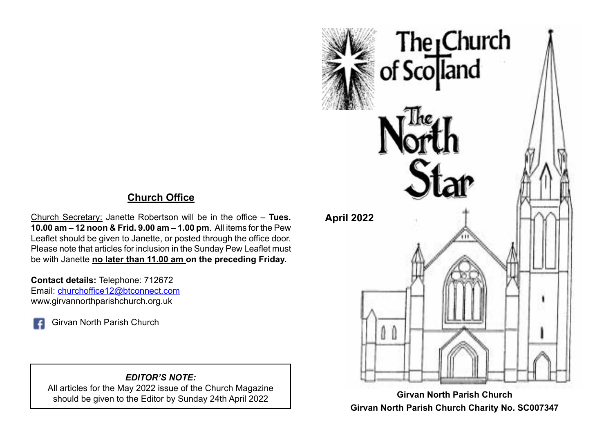## **Church Office**

Church Secretary: Janette Robertson will be in the office – **Tues. 10.00 am – 12 noon & Frid. 9.00 am – 1.00 pm**. All items for the Pew Leaflet should be given to Janette, or posted through the office door. Please note that articles for inclusion in the Sunday Pew Leaflet must be with Janette **no later than 11.00 am on the preceding Friday.**

**Contact details:** Telephone: 712672 Email: [churchoffice12@btconnect.com](mailto:churchoffice12@btconnect.com) www.girvannorthparishchurch.org.uk

Girvan North Parish Church

## *EDITOR'S NOTE:*

All articles for the May 2022 issue of the Church Magazine should be given to the Editor by Sunday 24th April 2022



**Girvan North Parish Church Charity No. SC007347**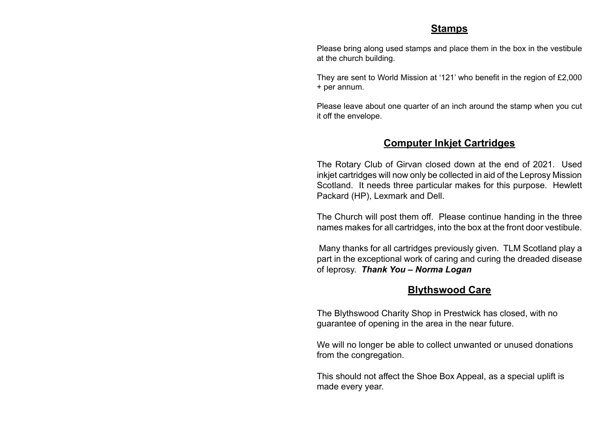#### **Stamps**

Please bring along used stamps and place them in the box in the vestibule at the church building.

They are sent to World Mission at '121' who benefit in the region of £2,000 + per annum.

Please leave about one quarter of an inch around the stamp when you cut it off the envelope.

## **Computer Inkjet Cartridges**

The Rotary Club of Girvan closed down at the end of 2021. Used inkjet cartridges will now only be collected in aid of the Leprosy Mission Scotland. It needs three particular makes for this purpose. Hewlett Packard (HP), Lexmark and Dell.

The Church will post them off. Please continue handing in the three names makes for all cartridges, into the box at the front door vestibule.

 Many thanks for all cartridges previously given. TLM Scotland play a part in the exceptional work of caring and curing the dreaded disease of leprosy. *Thank You – Norma Logan*

## **Blythswood Care**

The Blythswood Charity Shop in Prestwick has closed, with no guarantee of opening in the area in the near future.

We will no longer be able to collect unwanted or unused donations from the congregation.

This should not affect the Shoe Box Appeal, as a special uplift is made every year.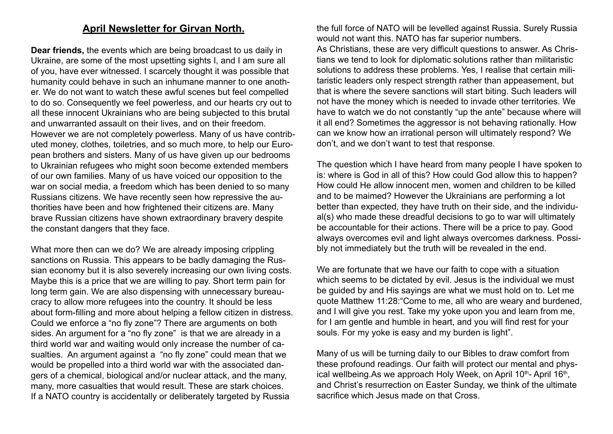## **April Newsletter for Girvan North.**

**Dear friends,** the events which are being broadcast to us daily in Ukraine, are some of the most upsetting sights I, and I am sure all of you, have ever witnessed. I scarcely thought it was possible that humanity could behave in such an inhumane manner to one another. We do not want to watch these awful scenes but feel compelled to do so. Consequently we feel powerless, and our hearts cry out to all these innocent Ukrainians who are being subjected to this brutal and unwarranted assault on their lives, and on their freedom. However we are not completely powerless. Many of us have contributed money, clothes, toiletries, and so much more, to help our European brothers and sisters. Many of us have given up our bedrooms to Ukrainian refugees who might soon become extended members of our own families. Many of us have voiced our opposition to the war on social media, a freedom which has been denied to so many Russians citizens. We have recently seen how repressive the authorities have been and how frightened their citizens are. Many brave Russian citizens have shown extraordinary bravery despite the constant dangers that they face.

What more then can we do? We are already imposing crippling sanctions on Russia. This appears to be badly damaging the Russian economy but it is also severely increasing our own living costs. Maybe this is a price that we are willing to pay. Short term pain for long term gain. We are also dispensing with unnecessary bureaucracy to allow more refugees into the country. It should be less about form-filling and more about helping a fellow citizen in distress. Could we enforce a "no fly zone"? There are arguments on both sides. An argument for a "no fly zone" is that we are already in a third world war and waiting would only increase the number of casualties. An argument against a "no fly zone" could mean that we would be propelled into a third world war with the associated dangers of a chemical, biological and/or nuclear attack, and the many, many, more casualties that would result. These are stark choices. If a NATO country is accidentally or deliberately targeted by Russia

the full force of NATO will be levelled against Russia. Surely Russia would not want this. NATO has far superior numbers.

As Christians, these are very difficult questions to answer. As Christians we tend to look for diplomatic solutions rather than militaristic solutions to address these problems. Yes, I realise that certain militaristic leaders only respect strength rather than appeasement, but that is where the severe sanctions will start biting. Such leaders will not have the money which is needed to invade other territories. We have to watch we do not constantly "up the ante" because where will it all end? Sometimes the aggressor is not behaving rationally. How can we know how an irrational person will ultimately respond? We don't, and we don't want to test that response.

The question which I have heard from many people I have spoken to is: where is God in all of this? How could God allow this to happen? How could He allow innocent men, women and children to be killed and to be maimed? However the Ukrainians are performing a lot better than expected, they have truth on their side, and the individual(s) who made these dreadful decisions to go to war will ultimately be accountable for their actions. There will be a price to pay. Good always overcomes evil and light always overcomes darkness. Possibly not immediately but the truth will be revealed in the end.

We are fortunate that we have our faith to cope with a situation which seems to be dictated by evil. Jesus is the individual we must be guided by and His sayings are what we must hold on to. Let me quote Matthew 11:28:"Come to me, all who are weary and burdened, and I will give you rest. Take my yoke upon you and learn from me, for I am gentle and humble in heart, and you will find rest for your souls. For my yoke is easy and my burden is light".

Many of us will be turning daily to our Bibles to draw comfort from these profound readings. Our faith will protect our mental and physical wellbeing. As we approach Holy Week, on April  $10<sup>th</sup>$ - April  $16<sup>th</sup>$ , and Christ's resurrection on Easter Sunday, we think of the ultimate sacrifice which Jesus made on that Cross.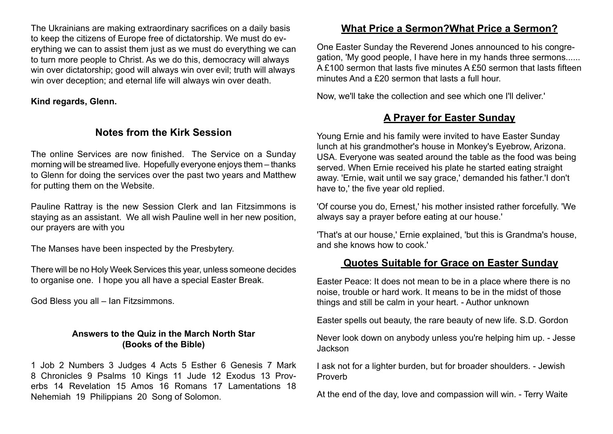The Ukrainians are making extraordinary sacrifices on a daily basis to keep the citizens of Europe free of dictatorship. We must do everything we can to assist them just as we must do everything we can to turn more people to Christ. As we do this, democracy will always win over dictatorship; good will always win over evil; truth will always win over deception; and eternal life will always win over death.

#### **Kind regards, Glenn.**

## **Notes from the Kirk Session**

The online Services are now finished. The Service on a Sunday morning will be streamed live. Hopefully everyone enjoys them – thanks to Glenn for doing the services over the past two years and Matthew for putting them on the Website.

Pauline Rattray is the new Session Clerk and Ian Fitzsimmons is staying as an assistant. We all wish Pauline well in her new position, our prayers are with you

The Manses have been inspected by the Presbytery.

There will be no Holy Week Services this year, unless someone decides to organise one. I hope you all have a special Easter Break.

God Bless you all – Ian Fitzsimmons.

#### **Answers to the Quiz in the March North Star (Books of the Bible)**

1 Job 2 Numbers 3 Judges 4 Acts 5 Esther 6 Genesis 7 Mark 8 Chronicles 9 Psalms 10 Kings 11 Jude 12 Exodus 13 Proverbs 14 Revelation 15 Amos 16 Romans 17 Lamentations 18 Nehemiah 19 Philippians 20 Song of Solomon.

## **What Price a Sermon?What Price a Sermon?**

One Easter Sunday the Reverend Jones announced to his congregation, 'My good people, I have here in my hands three sermons...... A £100 sermon that lasts five minutes A £50 sermon that lasts fifteen minutes And a £20 sermon that lasts a full hour.

Now, we'll take the collection and see which one I'll deliver.'

## **A Prayer for Easter Sunday**

Young Ernie and his family were invited to have Easter Sunday lunch at his grandmother's house in Monkey's Eyebrow, Arizona. USA. Everyone was seated around the table as the food was being served. When Ernie received his plate he started eating straight away. 'Ernie, wait until we say grace,' demanded his father.'I don't have to,' the five year old replied.

'Of course you do, Ernest,' his mother insisted rather forcefully. 'We always say a prayer before eating at our house.'

'That's at our house,' Ernie explained, 'but this is Grandma's house, and she knows how to cook.'

## **Quotes Suitable for Grace on Easter Sunday**

Easter Peace: It does not mean to be in a place where there is no noise, trouble or hard work. It means to be in the midst of those things and still be calm in your heart. - Author unknown

Easter spells out beauty, the rare beauty of new life. S.D. Gordon

Never look down on anybody unless you're helping him up. - Jesse Jackson

I ask not for a lighter burden, but for broader shoulders. - Jewish Proverb

At the end of the day, love and compassion will win. - Terry Waite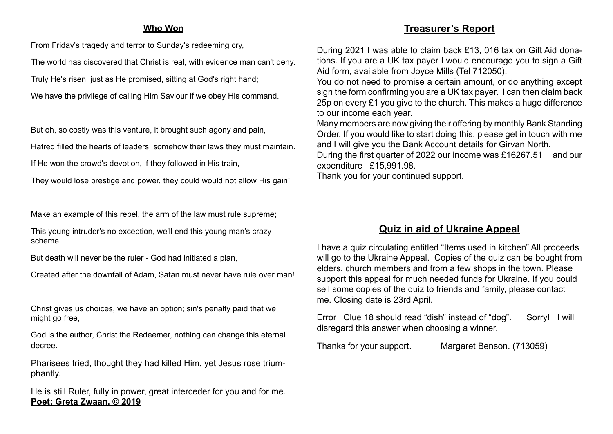#### **Who Won**

From Friday's tragedy and terror to Sunday's redeeming cry,

The world has discovered that Christ is real, with evidence man can't deny.

Truly He's risen, just as He promised, sitting at God's right hand;

We have the privilege of calling Him Saviour if we obey His command.

But oh, so costly was this venture, it brought such agony and pain,

Hatred filled the hearts of leaders; somehow their laws they must maintain.

If He won the crowd's devotion, if they followed in His train,

They would lose prestige and power, they could would not allow His gain!

Make an example of this rebel, the arm of the law must rule supreme;

This young intruder's no exception, we'll end this young man's crazy scheme.

But death will never be the ruler - God had initiated a plan,

Created after the downfall of Adam, Satan must never have rule over man!

Christ gives us choices, we have an option; sin's penalty paid that we might go free.

God is the author, Christ the Redeemer, nothing can change this eternal decree.

Pharisees tried, thought they had killed Him, yet Jesus rose triumphantly.

He is still Ruler, fully in power, great interceder for you and for me. **Poet: Greta Zwaan, © 2019**

## **Treasurer's Report**

During 2021 I was able to claim back £13, 016 tax on Gift Aid donations. If you are a UK tax payer I would encourage you to sign a Gift Aid form, available from Joyce Mills (Tel 712050).

You do not need to promise a certain amount, or do anything except sign the form confirming you are a UK tax payer. I can then claim back 25p on every £1 you give to the church. This makes a huge difference to our income each year.

Many members are now giving their offering by monthly Bank Standing Order. If you would like to start doing this, please get in touch with me and I will give you the Bank Account details for Girvan North.

During the first quarter of 2022 our income was £16267.51 and our expenditure £15,991.98.

Thank you for your continued support.

## **Quiz in aid of Ukraine Appeal**

I have a quiz circulating entitled "Items used in kitchen" All proceeds will go to the Ukraine Appeal. Copies of the quiz can be bought from elders, church members and from a few shops in the town. Please support this appeal for much needed funds for Ukraine. If you could sell some copies of the quiz to friends and family, please contact me. Closing date is 23rd April.

Error Clue 18 should read "dish" instead of "dog". Sorry! I will disregard this answer when choosing a winner.

Thanks for your support. Margaret Benson. (713059)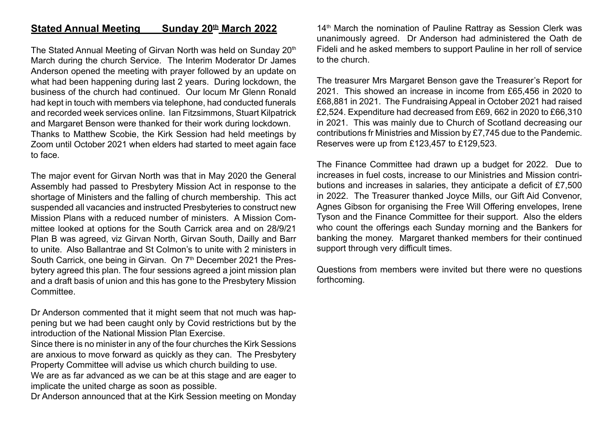## **Stated Annual Meeting Sunday 20th March 2022**

The Stated Annual Meeting of Girvan North was held on Sunday 20<sup>th</sup> March during the church Service. The Interim Moderator Dr James Anderson opened the meeting with prayer followed by an update on what had been happening during last 2 years. During lockdown, the business of the church had continued. Our locum Mr Glenn Ronald had kept in touch with members via telephone, had conducted funerals and recorded week services online. Ian Fitzsimmons, Stuart Kilpatrick and Margaret Benson were thanked for their work during lockdown. Thanks to Matthew Scobie, the Kirk Session had held meetings by Zoom until October 2021 when elders had started to meet again face to face.

The major event for Girvan North was that in May 2020 the General Assembly had passed to Presbytery Mission Act in response to the shortage of Ministers and the falling of church membership. This act suspended all vacancies and instructed Presbyteries to construct new Mission Plans with a reduced number of ministers. A Mission Committee looked at options for the South Carrick area and on 28/9/21 Plan B was agreed, viz Girvan North, Girvan South, Dailly and Barr to unite. Also Ballantrae and St Colmon's to unite with 2 ministers in South Carrick, one being in Girvan. On 7<sup>th</sup> December 2021 the Presbytery agreed this plan. The four sessions agreed a joint mission plan and a draft basis of union and this has gone to the Presbytery Mission Committee.

Dr Anderson commented that it might seem that not much was happening but we had been caught only by Covid restrictions but by the introduction of the National Mission Plan Exercise.

Since there is no minister in any of the four churches the Kirk Sessions are anxious to move forward as quickly as they can. The Presbytery Property Committee will advise us which church building to use.

We are as far advanced as we can be at this stage and are eager to implicate the united charge as soon as possible.

Dr Anderson announced that at the Kirk Session meeting on Monday

14<sup>th</sup> March the nomination of Pauline Rattray as Session Clerk was unanimously agreed. Dr Anderson had administered the Oath de Fideli and he asked members to support Pauline in her roll of service to the church.

The treasurer Mrs Margaret Benson gave the Treasurer's Report for 2021. This showed an increase in income from £65,456 in 2020 to £68,881 in 2021. The Fundraising Appeal in October 2021 had raised £2,524. Expenditure had decreased from £69, 662 in 2020 to £66,310 in 2021. This was mainly due to Church of Scotland decreasing our contributions fr Ministries and Mission by £7,745 due to the Pandemic. Reserves were up from £123,457 to £129,523.

The Finance Committee had drawn up a budget for 2022. Due to increases in fuel costs, increase to our Ministries and Mission contributions and increases in salaries, they anticipate a deficit of £7,500 in 2022. The Treasurer thanked Joyce Mills, our Gift Aid Convenor, Agnes Gibson for organising the Free Will Offering envelopes, Irene Tyson and the Finance Committee for their support. Also the elders who count the offerings each Sunday morning and the Bankers for banking the money. Margaret thanked members for their continued support through very difficult times.

Questions from members were invited but there were no questions forthcoming.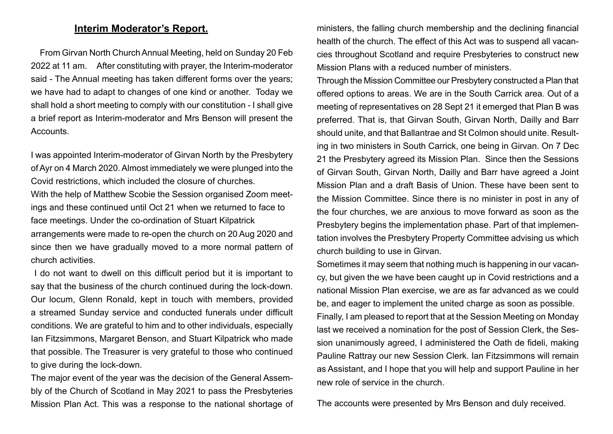#### **Interim Moderator's Report.**

 From Girvan North Church Annual Meeting, held on Sunday 20 Feb 2022 at 11 am. After constituting with prayer, the Interim-moderator said - The Annual meeting has taken different forms over the years; we have had to adapt to changes of one kind or another. Today we shall hold a short meeting to comply with our constitution - I shall give a brief report as Interim-moderator and Mrs Benson will present the Accounts.

I was appointed Interim-moderator of Girvan North by the Presbytery of Ayr on 4 March 2020. Almost immediately we were plunged into the Covid restrictions, which included the closure of churches. With the help of Matthew Scobie the Session organised Zoom meetings and these continued until Oct 21 when we returned to face to face meetings. Under the co-ordination of Stuart Kilpatrick arrangements were made to re-open the church on 20 Aug 2020 and since then we have gradually moved to a more normal pattern of church activities.

 I do not want to dwell on this difficult period but it is important to say that the business of the church continued during the lock-down. Our locum, Glenn Ronald, kept in touch with members, provided a streamed Sunday service and conducted funerals under difficult conditions. We are grateful to him and to other individuals, especially Ian Fitzsimmons, Margaret Benson, and Stuart Kilpatrick who made that possible. The Treasurer is very grateful to those who continued to give during the lock-down.

The major event of the year was the decision of the General Assembly of the Church of Scotland in May 2021 to pass the Presbyteries Mission Plan Act. This was a response to the national shortage of ministers, the falling church membership and the declining financial health of the church. The effect of this Act was to suspend all vacancies throughout Scotland and require Presbyteries to construct new Mission Plans with a reduced number of ministers.

Through the Mission Committee our Presbytery constructed a Plan that offered options to areas. We are in the South Carrick area. Out of a meeting of representatives on 28 Sept 21 it emerged that Plan B was preferred. That is, that Girvan South, Girvan North, Dailly and Barr should unite, and that Ballantrae and St Colmon should unite. Resulting in two ministers in South Carrick, one being in Girvan. On 7 Dec 21 the Presbytery agreed its Mission Plan. Since then the Sessions of Girvan South, Girvan North, Dailly and Barr have agreed a Joint Mission Plan and a draft Basis of Union. These have been sent to the Mission Committee. Since there is no minister in post in any of the four churches, we are anxious to move forward as soon as the Presbytery begins the implementation phase. Part of that implementation involves the Presbytery Property Committee advising us which church building to use in Girvan.

Sometimes it may seem that nothing much is happening in our vacancy, but given the we have been caught up in Covid restrictions and a national Mission Plan exercise, we are as far advanced as we could be, and eager to implement the united charge as soon as possible. Finally, I am pleased to report that at the Session Meeting on Monday last we received a nomination for the post of Session Clerk, the Session unanimously agreed, I administered the Oath de fideli, making Pauline Rattray our new Session Clerk. Ian Fitzsimmons will remain as Assistant, and I hope that you will help and support Pauline in her new role of service in the church.

The accounts were presented by Mrs Benson and duly received.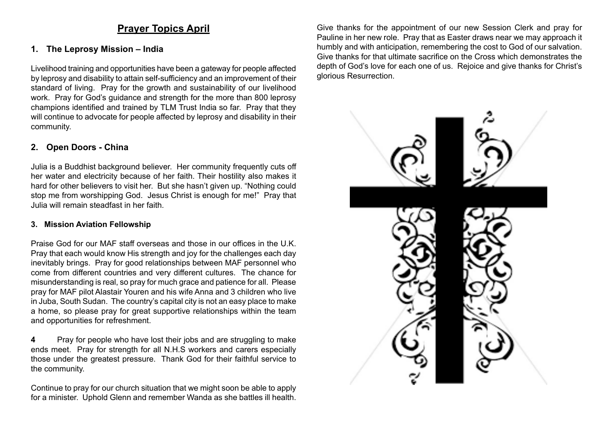## **Prayer Topics April**

#### **1. The Leprosy Mission – India**

Livelihood training and opportunities have been a gateway for people affected by leprosy and disability to attain self-sufficiency and an improvement of their standard of living. Pray for the growth and sustainability of our livelihood work. Pray for God's guidance and strength for the more than 800 leprosy champions identified and trained by TLM Trust India so far. Pray that they will continue to advocate for people affected by leprosy and disability in their community.

## **2. Open Doors - China**

Julia is a Buddhist background believer. Her community frequently cuts off her water and electricity because of her faith. Their hostility also makes it hard for other believers to visit her. But she hasn't given up. "Nothing could stop me from worshipping God. Jesus Christ is enough for me!" Pray that Julia will remain steadfast in her faith.

#### **3. Mission Aviation Fellowship**

Praise God for our MAF staff overseas and those in our offices in the U.K. Pray that each would know His strength and joy for the challenges each day inevitably brings. Pray for good relationships between MAF personnel who come from different countries and very different cultures. The chance for misunderstanding is real, so pray for much grace and patience for all. Please pray for MAF pilot Alastair Youren and his wife Anna and 3 children who live in Juba, South Sudan. The country's capital city is not an easy place to make a home, so please pray for great supportive relationships within the team and opportunities for refreshment.

**4** Pray for people who have lost their jobs and are struggling to make ends meet. Pray for strength for all N.H.S workers and carers especially those under the greatest pressure. Thank God for their faithful service to the community.

Continue to pray for our church situation that we might soon be able to apply for a minister. Uphold Glenn and remember Wanda as she battles ill health.

Give thanks for the appointment of our new Session Clerk and pray for Pauline in her new role. Pray that as Easter draws near we may approach it humbly and with anticipation, remembering the cost to God of our salvation. Give thanks for that ultimate sacrifice on the Cross which demonstrates the depth of God's love for each one of us. Rejoice and give thanks for Christ's glorious Resurrection.

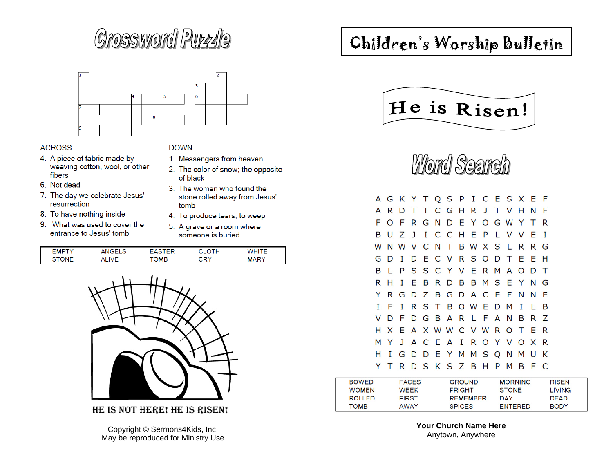# **Crossword Pupzle**



#### **ACROSS**

- 4. A piece of fabric made by weaving cotton, wool, or other fibers
- 6. Not dead
- 7. The day we celebrate Jesus' resurrection
- 8. To have nothing inside
- 9. What was used to cover the entrance to Jesus' tomb
- **DOWN**
- 1. Messengers from heaven
- 2. The color of snow; the opposite of black
- 3. The woman who found the stone rolled away from Jesus' tomb
- 4. To produce tears; to weep
- 5. A grave or a room where someone is buried

| <b>EMPTY</b> |                | ╌          | $\cap$ TU<br>. . | 1 11 T F |
|--------------|----------------|------------|------------------|----------|
|              | $\cdots$<br>л. | <b>OMB</b> | rdv<br>UN I      | MAR⊻     |



HE IS NOT HERE! HE IS RISEN!

Copyright © Sermons4Kids, Inc. May be reproduced for Ministry Use

## Children's Worship Bulletin



Word Search

|    |     | A G K Y T Q S P I C E S X E F |  |  |  |  |                           |  |     |  |
|----|-----|-------------------------------|--|--|--|--|---------------------------|--|-----|--|
| А  |     | R D T T C G H R J T V H N     |  |  |  |  |                           |  | -F  |  |
| F. |     | OFRGNDEYOGWYTR                |  |  |  |  |                           |  |     |  |
| в  |     | UZJICCHEPLVVEI                |  |  |  |  |                           |  |     |  |
|    |     | WNWVCNTBWXSLRRG               |  |  |  |  |                           |  |     |  |
|    |     | <b>GDIDECVRSODTEEH</b>        |  |  |  |  |                           |  |     |  |
| в  | -L. | <b>PSSCYVERMAODT</b>          |  |  |  |  |                           |  |     |  |
| R  | н   |                               |  |  |  |  | I E B R D B B M S E Y N G |  |     |  |
| Y  |     | R G D Z B G D A C E F N N E   |  |  |  |  |                           |  |     |  |
| I  | F   | L                             |  |  |  |  | R S T B O W E D M I L     |  | B   |  |
| V  |     | D F D G B A R L F A N B R Z   |  |  |  |  |                           |  |     |  |
|    |     | H X E A X W W C V W R O T E   |  |  |  |  |                           |  | - R |  |
|    |     | MYJACEAIROYVOXR               |  |  |  |  |                           |  |     |  |
| н  |     | I G D D E Y M M S Q N M U K   |  |  |  |  |                           |  |     |  |
|    |     | Y T R D S K S Z B H P M B F C |  |  |  |  |                           |  |     |  |
|    |     |                               |  |  |  |  |                           |  |     |  |

| <b>BOWED</b>  | <b>FACES</b> | <b>GROUND</b>   | <b>MORNING</b> | <b>RISEN</b> |
|---------------|--------------|-----------------|----------------|--------------|
| <b>WOMEN</b>  | WEEK         | <b>FRIGHT</b>   | <b>STONE</b>   | LIVING       |
| <b>ROLLED</b> | <b>FIRST</b> | <b>REMEMBER</b> | <b>DAY</b>     | DEAD         |
| TOMB          | AWAY         | <b>SPICES</b>   | <b>ENTERED</b> | <b>BODY</b>  |

**Your Church Name Here** Anytown, Anywhere